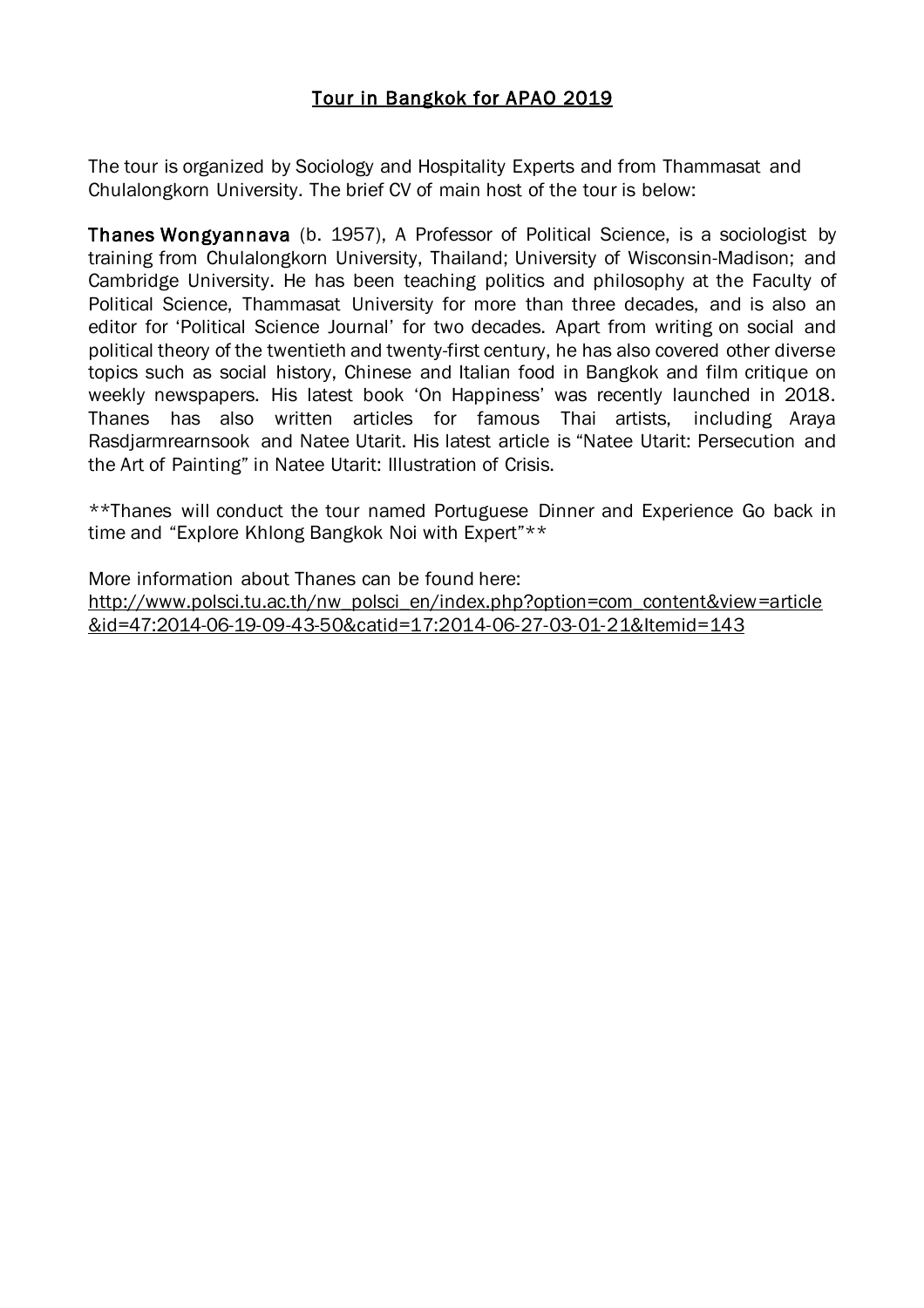### Tour in Bangkok for APAO 2019

The tour is organized by Sociology and Hospitality Experts and from Thammasat and Chulalongkorn University. The brief CV of main host of the tour is below:

Thanes Wongyannava (b. 1957), A Professor of Political Science, is a sociologist by training from Chulalongkorn University, Thailand; University of Wisconsin-Madison; and Cambridge University. He has been teaching politics and philosophy at the Faculty of Political Science, Thammasat University for more than three decades, and is also an editor for 'Political Science Journal' for two decades. Apart from writing on social and political theory of the twentieth and twenty-first century, he has also covered other diverse topics such as social history, Chinese and Italian food in Bangkok and film critique on weekly newspapers. His latest book 'On Happiness' was recently launched in 2018. Thanes has also written articles for famous Thai artists, including Araya Rasdjarmrearnsook and Natee Utarit. His latest article is "Natee Utarit: Persecution and the Art of Painting" in Natee Utarit: Illustration of Crisis.

\*\*Thanes will conduct the tour named Portuguese Dinner and Experience Go back in time and "Explore Khlong Bangkok Noi with Expert"\*\*

More information about Thanes can be found here: [http://www.polsci.tu.ac.th/nw\\_polsci\\_en/index.php?option=com\\_content&view=article](http://www.polsci.tu.ac.th/nw_polsci_en/index.php?option=com_content&view=article&id=47:2014-06-19-09-43-50&catid=17:2014-06-27-03-01-21&Itemid=143) [&id=47:2014-06-19-09-43-50&catid=17:2014-06-27-03-01-21&Itemid=143](http://www.polsci.tu.ac.th/nw_polsci_en/index.php?option=com_content&view=article&id=47:2014-06-19-09-43-50&catid=17:2014-06-27-03-01-21&Itemid=143)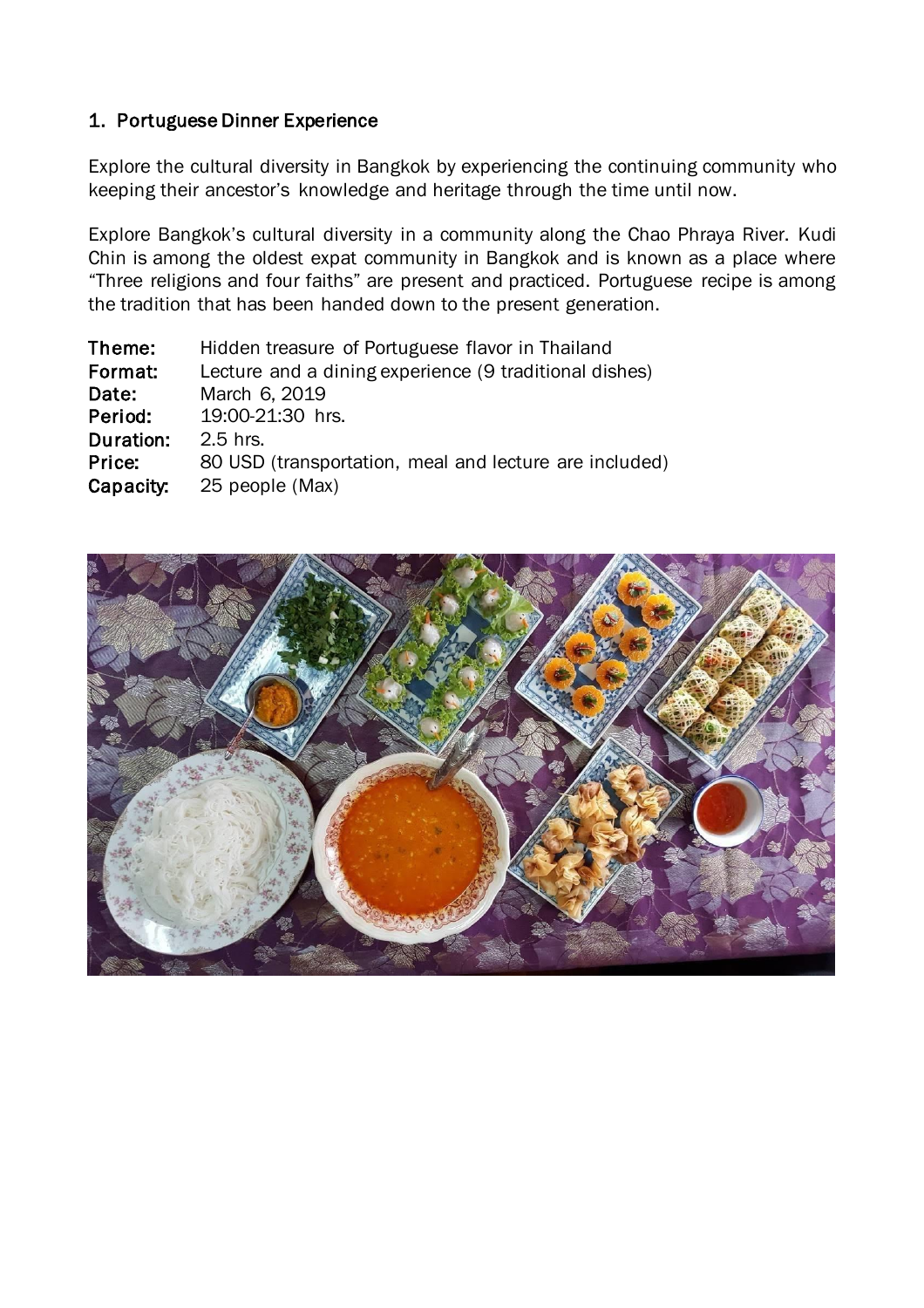### 1. Portuguese Dinner Experience

Explore the cultural diversity in Bangkok by experiencing the continuing community who keeping their ancestor's knowledge and heritage through the time until now.

Explore Bangkok's cultural diversity in a community along the Chao Phraya River. Kudi Chin is among the oldest expat community in Bangkok and is known as a place where "Three religions and four faiths" are present and practiced. Portuguese recipe is among the tradition that has been handed down to the present generation.

| Theme:    | Hidden treasure of Portuguese flavor in Thailand       |
|-----------|--------------------------------------------------------|
| Format:   | Lecture and a dining experience (9 traditional dishes) |
| Date:     | March 6, 2019                                          |
| Period:   | 19:00-21:30 hrs.                                       |
| Duration: | $2.5$ hrs.                                             |
| Price:    | 80 USD (transportation, meal and lecture are included) |
| Capacity: | 25 people (Max)                                        |
|           |                                                        |

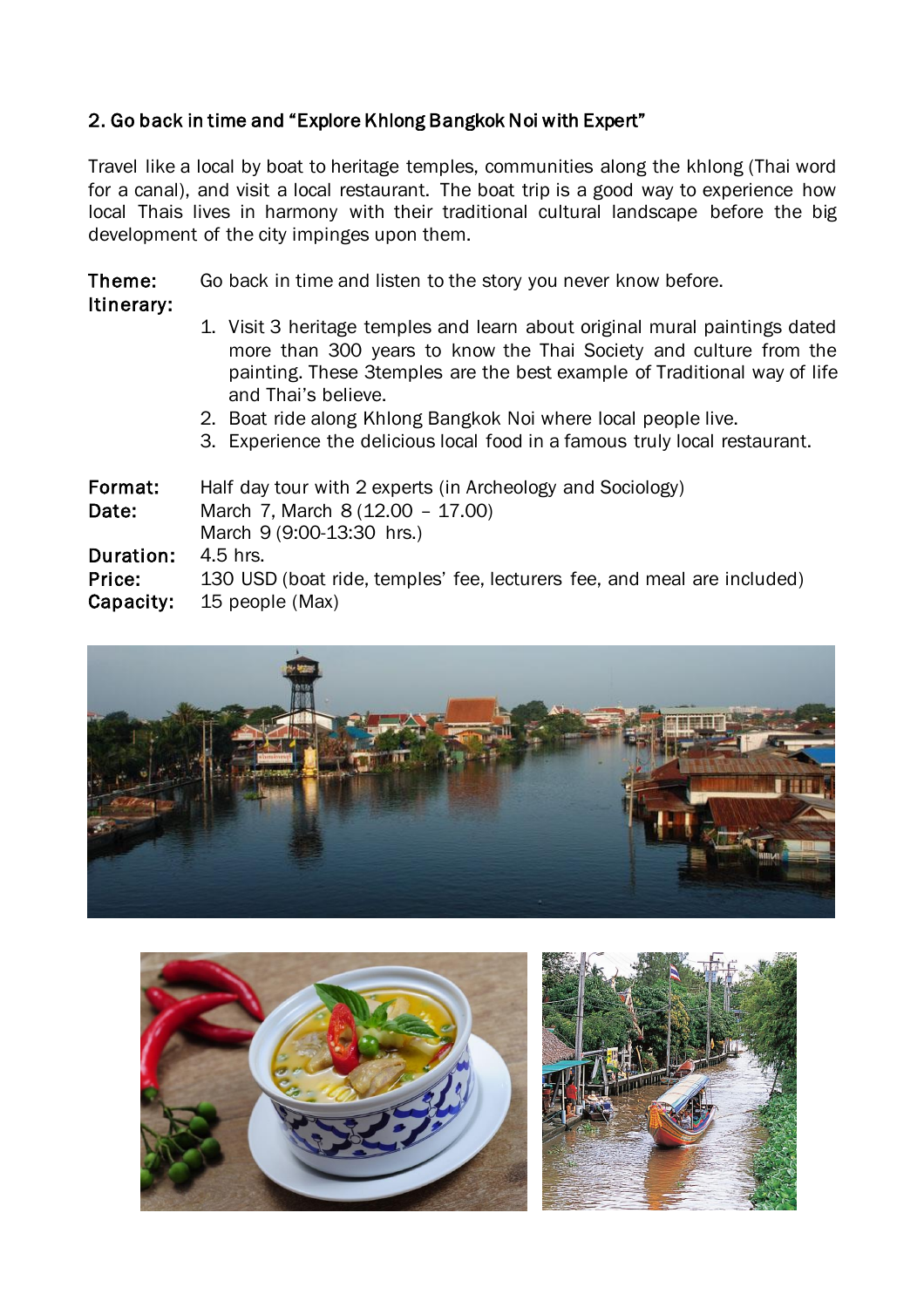## 2. Go back in time and "Explore Khlong Bangkok Noi with Expert"

Itinerary:

Travel like a local by boat to heritage temples, communities along the khlong (Thai word for a canal), and visit a local restaurant. The boat trip is a good way to experience how local Thais lives in harmony with their traditional cultural landscape before the big development of the city impinges upon them.

Theme: Go back in time and listen to the story you never know before.

- 1. Visit 3 heritage temples and learn about original mural paintings dated more than 300 years to know the Thai Society and culture from the painting. These 3temples are the best example of Traditional way of life and Thai's believe.
	- 2. Boat ride along Khlong Bangkok Noi where local people live.
- 3. Experience the delicious local food in a famous truly local restaurant.

Format: Half day tour with 2 experts (in Archeology and Sociology) Date: March 7, March 8 (12.00 – 17.00) March 9 (9:00-13:30 hrs.) Duration: 4.5 hrs. Price: 130 USD (boat ride, temples' fee, lecturers fee, and meal are included) Capacity: 15 people (Max)



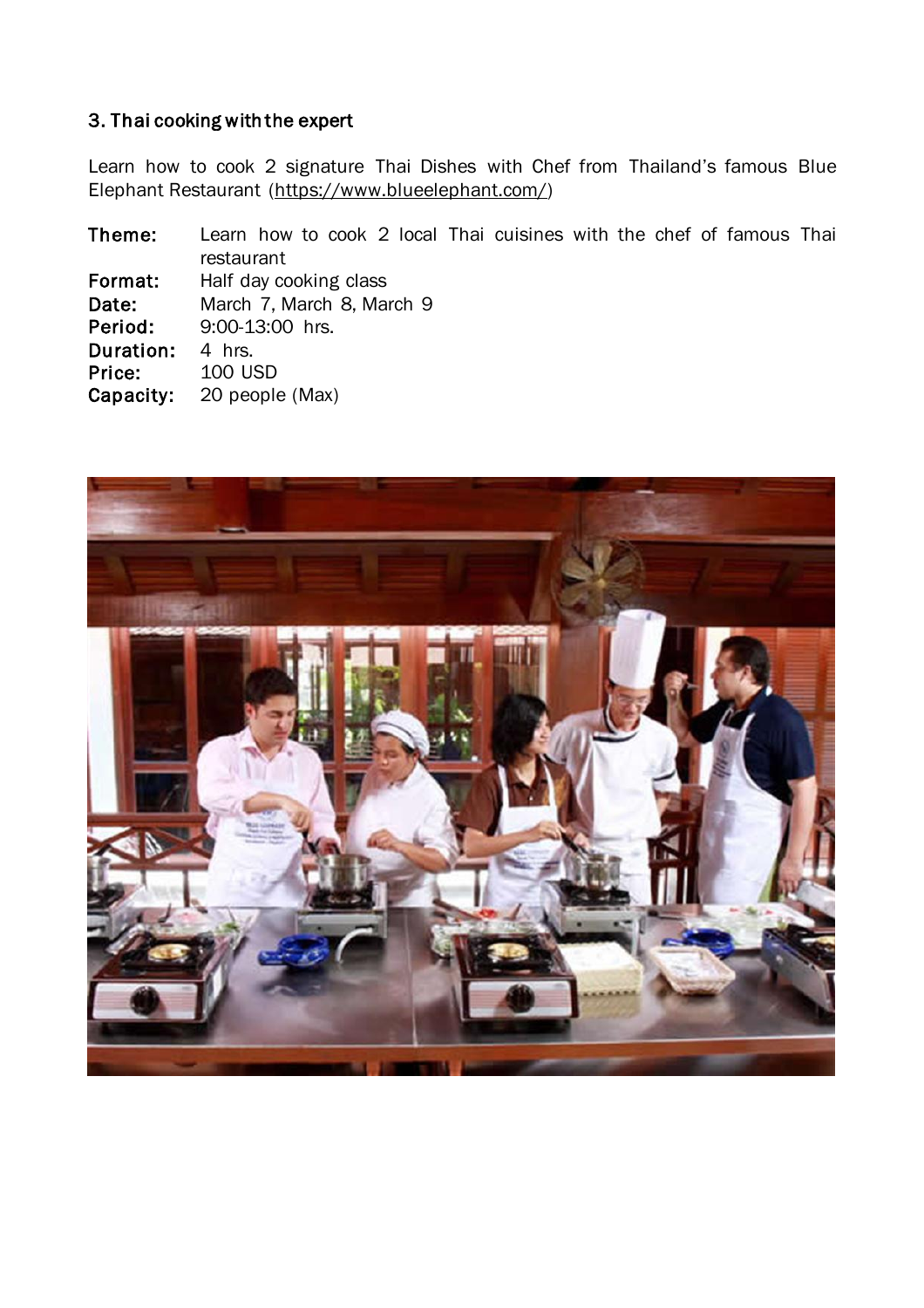#### 3. Thai cooking with the expert

Learn how to cook 2 signature Thai Dishes with Chef from Thailand's famous Blue Elephant Restaurant [\(https://www.blueelephant.com/\)](https://www.blueelephant.com/)

Theme: Learn how to cook 2 local Thai cuisines with the chef of famous Thai restaurant Format: Half day cooking class Date: March 7, March 8, March 9 Period: 9:00-13:00 hrs. Duration: 4 hrs. Price: 100 USD<br>Capacity: 20 people 20 people (Max)

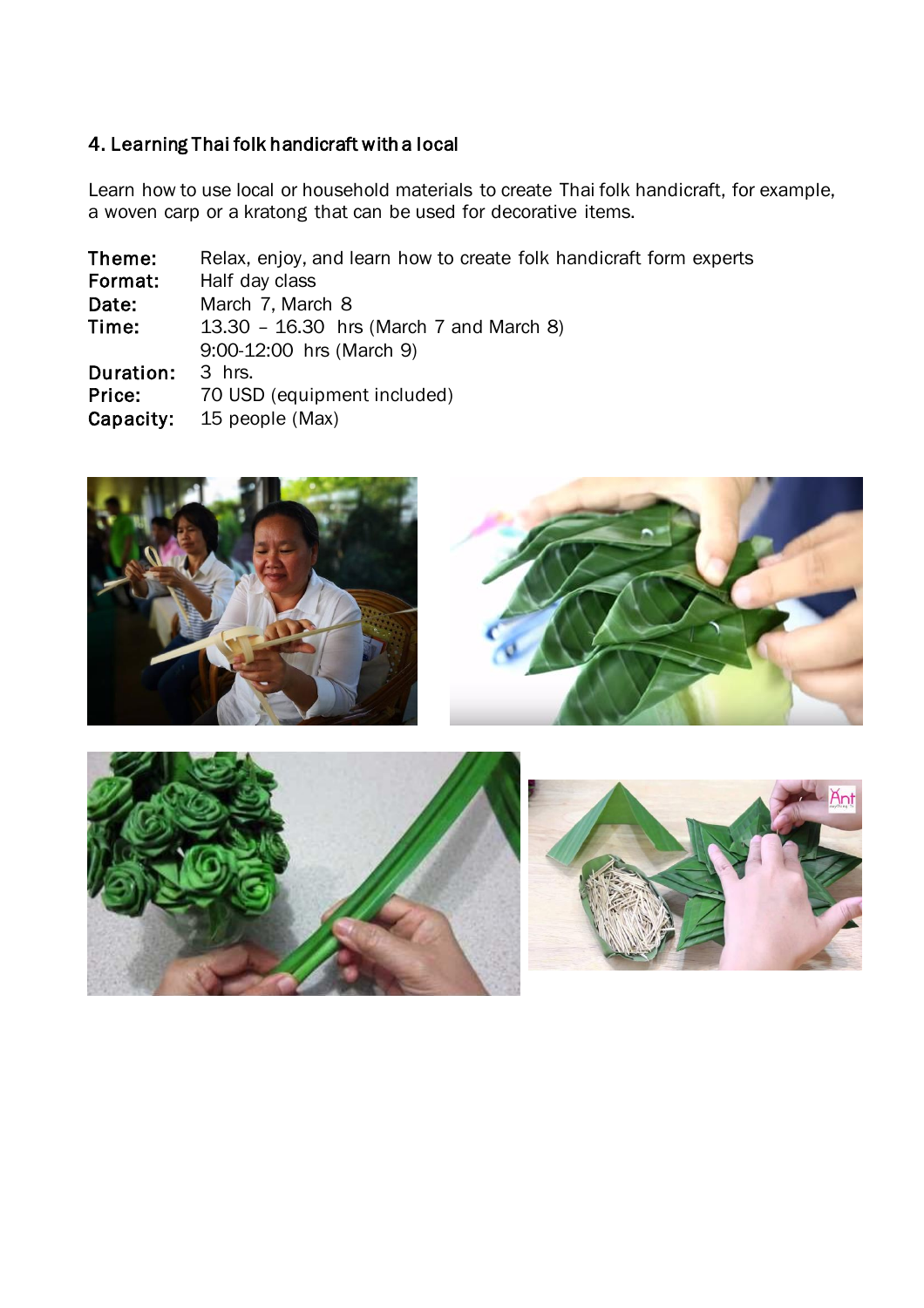# 4. Learning Thai folk handicraft with a local

Learn how to use local or household materials to create Thai folk handicraft, for example, a woven carp or a kratong that can be used for decorative items.

| Theme:    | Relax, enjoy, and learn how to create folk handicraft form experts |
|-----------|--------------------------------------------------------------------|
| Format:   | Half day class                                                     |
| Date:     | March 7, March 8                                                   |
| Time:     | 13.30 - 16.30 hrs (March 7 and March 8)                            |
|           | 9:00-12:00 hrs (March 9)                                           |
| Duration: | 3 hrs.                                                             |
| Price:    | 70 USD (equipment included)                                        |
| Capacity: | 15 people (Max)                                                    |
|           |                                                                    |